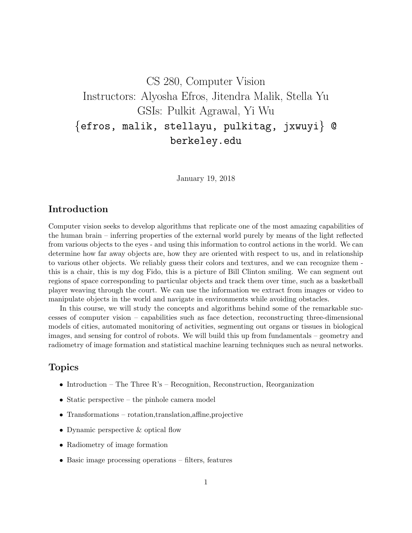CS 280, Computer Vision Instructors: Alyosha Efros, Jitendra Malik, Stella Yu GSIs: Pulkit Agrawal, Yi Wu {efros, malik, stellayu, pulkitag, jxwuyi} @ berkeley.edu

January 19, 2018

## Introduction

Computer vision seeks to develop algorithms that replicate one of the most amazing capabilities of the human brain – inferring properties of the external world purely by means of the light reflected from various objects to the eyes - and using this information to control actions in the world. We can determine how far away objects are, how they are oriented with respect to us, and in relationship to various other objects. We reliably guess their colors and textures, and we can recognize them this is a chair, this is my dog Fido, this is a picture of Bill Clinton smiling. We can segment out regions of space corresponding to particular objects and track them over time, such as a basketball player weaving through the court. We can use the information we extract from images or video to manipulate objects in the world and navigate in environments while avoiding obstacles.

In this course, we will study the concepts and algorithms behind some of the remarkable successes of computer vision – capabilities such as face detection, reconstructing three-dimensional models of cities, automated monitoring of activities, segmenting out organs or tissues in biological images, and sensing for control of robots. We will build this up from fundamentals – geometry and radiometry of image formation and statistical machine learning techniques such as neural networks.

## Topics

- Introduction The Three R's Recognition, Reconstruction, Reorganization
- Static perspective the pinhole camera model
- Transformations rotation,translation,affine,projective
- Dynamic perspective & optical flow
- Radiometry of image formation
- Basic image processing operations filters, features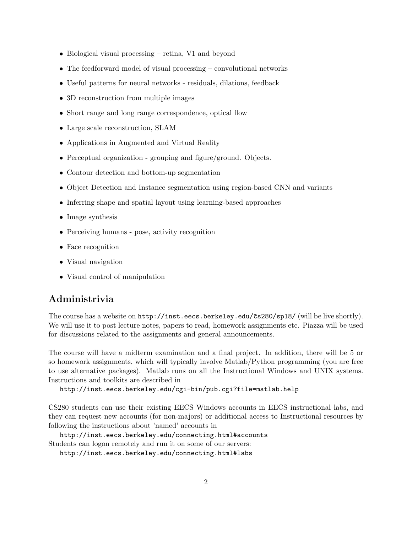- Biological visual processing retina, V1 and beyond
- The feedforward model of visual processing convolutional networks
- Useful patterns for neural networks residuals, dilations, feedback
- 3D reconstruction from multiple images
- Short range and long range correspondence, optical flow
- Large scale reconstruction, SLAM
- Applications in Augmented and Virtual Reality
- Perceptual organization grouping and figure/ground. Objects.
- Contour detection and bottom-up segmentation
- Object Detection and Instance segmentation using region-based CNN and variants
- Inferring shape and spatial layout using learning-based approaches
- Image synthesis
- Perceiving humans pose, activity recognition
- Face recognition
- Visual navigation
- Visual control of manipulation

## Administrivia

The course has a website on  $http://inst.eecs.berkeley.edu/čs280/sp18/(will be live shortly).$ We will use it to post lecture notes, papers to read, homework assignments etc. Piazza will be used for discussions related to the assignments and general announcements.

The course will have a midterm examination and a final project. In addition, there will be 5 or so homework assignments, which will typically involve Matlab/Python programming (you are free to use alternative packages). Matlab runs on all the Instructional Windows and UNIX systems. Instructions and toolkits are described in

```
http://inst.eecs.berkeley.edu/cgi-bin/pub.cgi?file=matlab.help
```
CS280 students can use their existing EECS Windows accounts in EECS instructional labs, and they can request new accounts (for non-majors) or additional access to Instructional resources by following the instructions about 'named' accounts in

http://inst.eecs.berkeley.edu/connecting.html#accounts Students can logon remotely and run it on some of our servers:

http://inst.eecs.berkeley.edu/connecting.html#labs